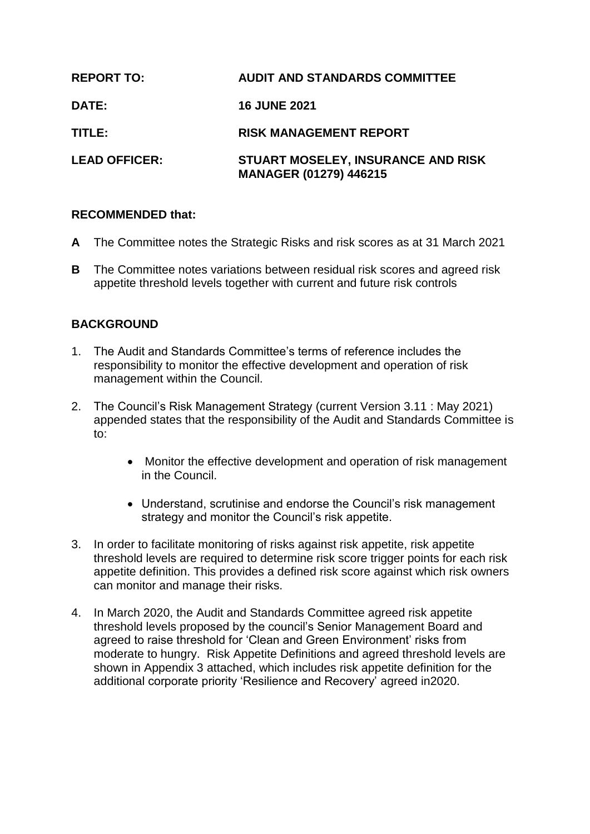| <b>REPORT TO:</b>    | <b>AUDIT AND STANDARDS COMMITTEE</b>                                |
|----------------------|---------------------------------------------------------------------|
| <b>DATE:</b>         | <b>16 JUNE 2021</b>                                                 |
| TITLE:               | <b>RISK MANAGEMENT REPORT</b>                                       |
| <b>LEAD OFFICER:</b> | STUART MOSELEY, INSURANCE AND RISK<br><b>MANAGER (01279) 446215</b> |

## **RECOMMENDED that:**

- **A** The Committee notes the Strategic Risks and risk scores as at 31 March 2021
- **B** The Committee notes variations between residual risk scores and agreed risk appetite threshold levels together with current and future risk controls

## **BACKGROUND**

- 1. The Audit and Standards Committee's terms of reference includes the responsibility to monitor the effective development and operation of risk management within the Council.
- 2. The Council's Risk Management Strategy (current Version 3.11 : May 2021) appended states that the responsibility of the Audit and Standards Committee is to:
	- Monitor the effective development and operation of risk management in the Council.
	- Understand, scrutinise and endorse the Council's risk management strategy and monitor the Council's risk appetite.
- 3. In order to facilitate monitoring of risks against risk appetite, risk appetite threshold levels are required to determine risk score trigger points for each risk appetite definition. This provides a defined risk score against which risk owners can monitor and manage their risks.
- 4. In March 2020, the Audit and Standards Committee agreed risk appetite threshold levels proposed by the council's Senior Management Board and agreed to raise threshold for 'Clean and Green Environment' risks from moderate to hungry. Risk Appetite Definitions and agreed threshold levels are shown in Appendix 3 attached, which includes risk appetite definition for the additional corporate priority 'Resilience and Recovery' agreed in2020.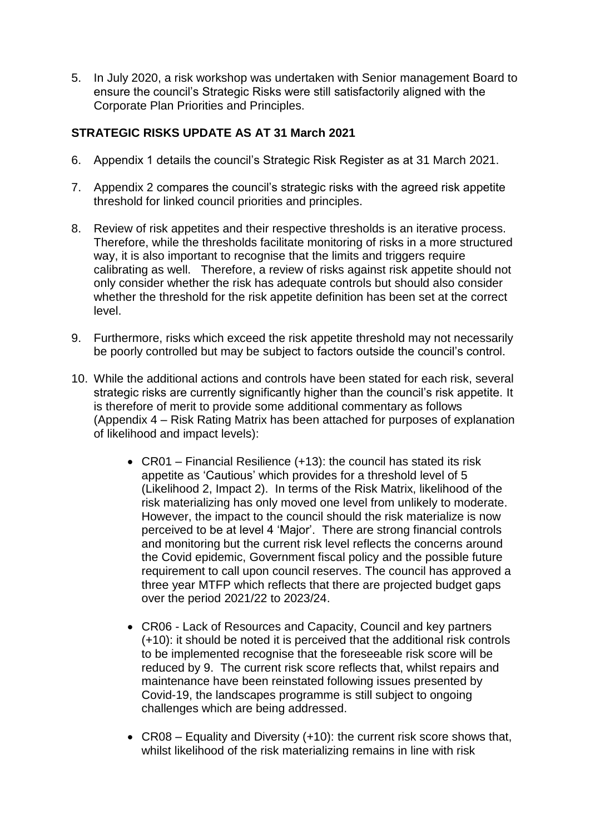5. In July 2020, a risk workshop was undertaken with Senior management Board to ensure the council's Strategic Risks were still satisfactorily aligned with the Corporate Plan Priorities and Principles.

# **STRATEGIC RISKS UPDATE AS AT 31 March 2021**

- 6. Appendix 1 details the council's Strategic Risk Register as at 31 March 2021.
- 7. Appendix 2 compares the council's strategic risks with the agreed risk appetite threshold for linked council priorities and principles.
- 8. Review of risk appetites and their respective thresholds is an iterative process. Therefore, while the thresholds facilitate monitoring of risks in a more structured way, it is also important to recognise that the limits and triggers require calibrating as well. Therefore, a review of risks against risk appetite should not only consider whether the risk has adequate controls but should also consider whether the threshold for the risk appetite definition has been set at the correct level.
- 9. Furthermore, risks which exceed the risk appetite threshold may not necessarily be poorly controlled but may be subject to factors outside the council's control.
- 10. While the additional actions and controls have been stated for each risk, several strategic risks are currently significantly higher than the council's risk appetite. It is therefore of merit to provide some additional commentary as follows (Appendix 4 – Risk Rating Matrix has been attached for purposes of explanation of likelihood and impact levels):
	- CR01 Financial Resilience (+13): the council has stated its risk appetite as 'Cautious' which provides for a threshold level of 5 (Likelihood 2, Impact 2). In terms of the Risk Matrix, likelihood of the risk materializing has only moved one level from unlikely to moderate. However, the impact to the council should the risk materialize is now perceived to be at level 4 'Major'. There are strong financial controls and monitoring but the current risk level reflects the concerns around the Covid epidemic, Government fiscal policy and the possible future requirement to call upon council reserves. The council has approved a three year MTFP which reflects that there are projected budget gaps over the period 2021/22 to 2023/24.
	- CR06 Lack of Resources and Capacity, Council and key partners (+10): it should be noted it is perceived that the additional risk controls to be implemented recognise that the foreseeable risk score will be reduced by 9. The current risk score reflects that, whilst repairs and maintenance have been reinstated following issues presented by Covid-19, the landscapes programme is still subject to ongoing challenges which are being addressed.
	- CR08 Equality and Diversity (+10): the current risk score shows that, whilst likelihood of the risk materializing remains in line with risk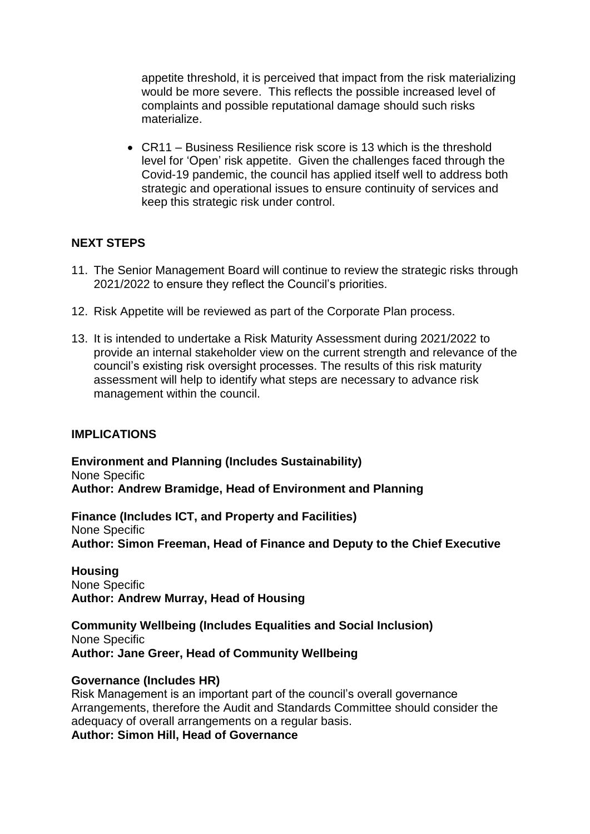appetite threshold, it is perceived that impact from the risk materializing would be more severe. This reflects the possible increased level of complaints and possible reputational damage should such risks materialize.

 CR11 – Business Resilience risk score is 13 which is the threshold level for 'Open' risk appetite. Given the challenges faced through the Covid-19 pandemic, the council has applied itself well to address both strategic and operational issues to ensure continuity of services and keep this strategic risk under control.

## **NEXT STEPS**

- 11. The Senior Management Board will continue to review the strategic risks through 2021/2022 to ensure they reflect the Council's priorities.
- 12. Risk Appetite will be reviewed as part of the Corporate Plan process.
- 13. It is intended to undertake a Risk Maturity Assessment during 2021/2022 to provide an internal stakeholder view on the current strength and relevance of the council's existing risk oversight processes. The results of this risk maturity assessment will help to identify what steps are necessary to advance risk management within the council.

#### **IMPLICATIONS**

**Environment and Planning (Includes Sustainability)** None Specific **Author: Andrew Bramidge, Head of Environment and Planning** 

**Finance (Includes ICT, and Property and Facilities)** None Specific **Author: Simon Freeman, Head of Finance and Deputy to the Chief Executive**

**Housing** None Specific **Author: Andrew Murray, Head of Housing**

**Community Wellbeing (Includes Equalities and Social Inclusion)** None Specific **Author: Jane Greer, Head of Community Wellbeing**

#### **Governance (Includes HR)**

Risk Management is an important part of the council's overall governance Arrangements, therefore the Audit and Standards Committee should consider the adequacy of overall arrangements on a regular basis.

**Author: Simon Hill, Head of Governance**